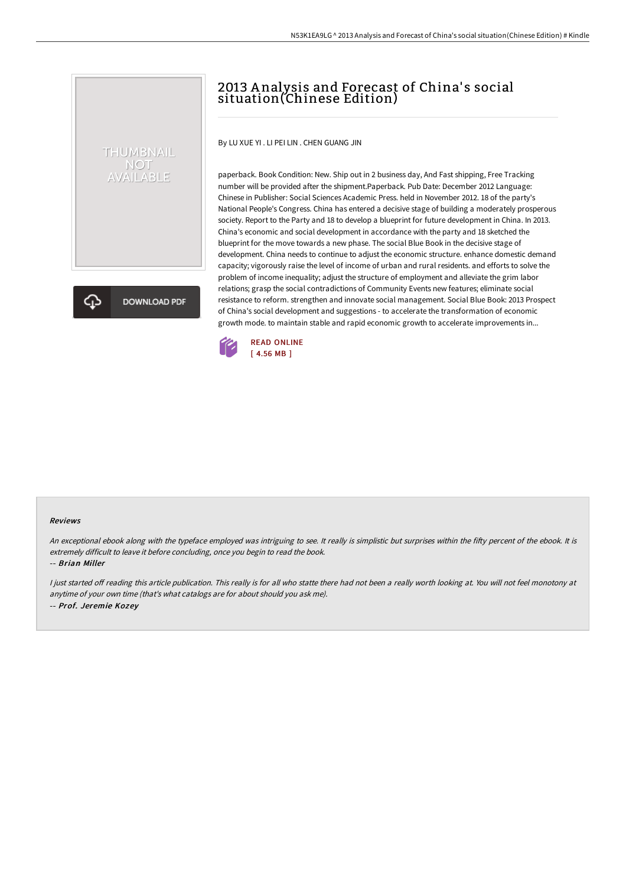# 2013 A nalysis and Forecast of China' s social situation(Chinese Edition)

By LU XUE YI . LI PEI LIN . CHEN GUANG JIN

paperback. Book Condition: New. Ship out in 2 business day, And Fast shipping, Free Tracking number will be provided after the shipment.Paperback. Pub Date: December 2012 Language: Chinese in Publisher: Social Sciences Academic Press. held in November 2012. 18 of the party's National People's Congress. China has entered a decisive stage of building a moderately prosperous society. Report to the Party and 18 to develop a blueprint for future development in China. In 2013. China's economic and social development in accordance with the party and 18 sketched the blueprint for the move towards a new phase. The social Blue Book in the decisive stage of development. China needs to continue to adjust the economic structure. enhance domestic demand capacity; vigorously raise the level of income of urban and rural residents. and efforts to solve the problem of income inequality; adjust the structure of employment and alleviate the grim labor relations; grasp the social contradictions of Community Events new features; eliminate social resistance to reform. strengthen and innovate social management. Social Blue Book: 2013 Prospect of China's social development and suggestions - to accelerate the transformation of economic growth mode. to maintain stable and rapid economic growth to accelerate improvements in...



#### Reviews

An exceptional ebook along with the typeface employed was intriguing to see. It really is simplistic but surprises within the fifty percent of the ebook. It is extremely difficult to leave it before concluding, once you begin to read the book.

-- Brian Miller

THUMBNAIL NOT<br>AVAILABLE

**DOWNLOAD PDF** 

I just started off reading this article publication. This really is for all who statte there had not been a really worth looking at. You will not feel monotony at anytime of your own time (that's what catalogs are for about should you ask me). -- Prof. Jeremie Kozey